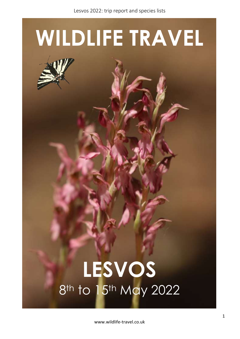# **WILDLIFE TRAVEL**

## **LESVOS** 8<sup>th</sup> to 15<sup>th</sup> May 2022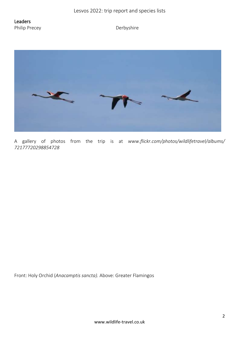Leaders Philip Precey **Derbyshire** 



A gallery of photos from the trip is at *www.flickr.com/photos/wildlifetravel/albums/ 72177720298854728*

Front: Holy Orchid (*Anacamptis sancta).* Above: Greater Flamingos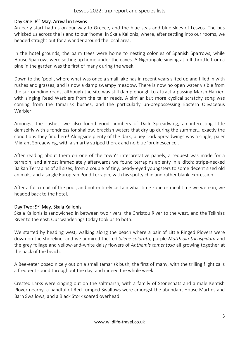#### Day One: 8<sup>th</sup> May. Arrival in Lesvos

An early start had us on our way to Greece, and the blue seas and blue skies of Lesvos. The bus whisked us across the island to our 'home' in Skala Kallonis, where, after settling into our rooms, we headed straight out for a wander around the local area.

In the hotel grounds, the palm trees were home to nesting colonies of Spanish Sparrows, while House Sparrows were setting up home under the eaves. A Nightingale singing at full throttle from a pine in the garden was the first of many during the week.

Down to the 'pool', where what was once a small lake has in recent years silted up and filled in with rushes and grasses, and is now a damp swampy meadow. There is now no open water visible from the surrounding roads, although the site was still damp enough to attract a passing Marsh Harrier, with singing Reed Warblers from the taller reeds. A similar but more cyclical scratchy song was coming from the tamarisk bushes, and the particularly un-prepossessing Eastern Olivaceous Warbler.

Amongst the rushes, we also found good numbers of Dark Spreadwing, an interesting little damselfly with a fondness for shallow, brackish waters that dry up during the summer… exactly the conditions they find here! Alongside plenty of the dark, bluey Dark Spreadwings was a single, paler Migrant Spreadwing, with a smartly striped thorax and no blue 'pruinescence'.

After reading about them on one of the town's interpretative panels, a request was made for a terrapin, and almost immediately afterwards we found terrapins aplenty in a ditch: stripe-necked Balkan Terrapins of all sizes, from a couple of tiny, beady-eyed youngsters to some decent sized old animals; and a single European Pond Terrapin, with his spotty chin and rather blank expression.

After a full circuit of the pool, and not entirely certain what time zone or meal time we were in, we headed back to the hotel.

#### Day Two: 9<sup>th</sup> May. Skala Kallonis

Skala Kallonis is sandwiched in between two rivers: the Christou River to the west, and the Tsiknias River to the east. Our wanderings today took us to both.

We started by heading west, walking along the beach where a pair of Little Ringed Plovers were down on the shoreline, and we admired the red *Silene colorata,* purple *Matthiola tricuspidata* and the grey foliage and yellow-and-white daisy flowers of *Anthemis tomentosa* all growing together at the back of the beach.

A Bee-eater posed nicely out on a small tamarisk bush, the first of many, with the trilling flight calls a frequent sound throughout the day, and indeed the whole week.

Crested Larks were singing out on the saltmarsh, with a family of Stonechats and a male Kentish Plover nearby, a handful of Red-rumped Swallows were amongst the abundant House Martins and Barn Swallows, and a Black Stork soared overhead.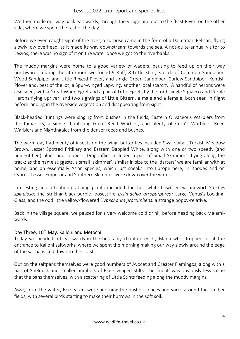We then made our way back eastwards, through the village and out to the 'East River' on the other side, where we spent the rest of the day.

Before we even caught sight of the river, a surprise came in the form of a Dalmatian Pelican, flying slowly low overhead, as it made its way downstream towards the sea. A not-quite-annual visitor to Lesvos, there was no sign of it on the water once we got to the riverbanks…

The muddy margins were home to a good variety of waders, pausing to feed up on their way northwards: during the afternoon we found 9 Ruff, 8 Little Stint, 3 each of Common Sandpiper, Wood Sandpiper and Little Ringed Plover, and single Green Sandpiper, Curlew Sandpiper, Kentish Plover and, best of the lot, a Spur-winged Lapwing, another local scarcity. A handful of herons were also seen, with a Great White Egret and a pair of Little Egrets by the ford, single Squacco and Purple Herons flying upriver, and two sightings of Little Bittern, a male and a female, both seen in flight before landing in the riverside vegetation and disappearing from sight.

Black-headed Buntings were singing from bushes in the fields, Eastern Olivaceous Warblers from the tamarisks, a single chuntering Great Reed Warbler, and plenty of Cetti's Warblers, Reed Warblers and Nightingales from the denser reeds and bushes.

The warm day had plenty of insects on the wing: butterflies included Swallowtail, Turkish Meadow Brown, Lesser Spotted Fritillary and Eastern Dappled White, along with one or two speedy (and unidentified) blues and coppers. Dragonflies included a pair of Small Skimmers, flying along the track: as the name suggests, a small 'skimmer', similar in size to the 'darters' we are familiar with at home, and an essentially Asian species, which just sneaks into Europe here, in Rhodes and on Cyprus. Lesser Emperor and Southern Skimmer were down over the water.

Interesting and attention-grabbing plants included the tall, white-flowered woundwort *Stachys spinulosa;* the striking black-purple loosestrife *Lysimachia atropurpurea;* Large Venus's-Looking-Glass; and the odd little yellow-flowered *Hypechoum procumbens,* a strange poppy-relative.

Back in the village square, we paused for a very welcome cold drink, before heading back Malemiwards.

#### Day Three: 10<sup>th</sup> May. Kalloni and Metochi

Today we headed off eastwards in the bus, ably chauffeured by Maria who dropped us at the entrance to Kalloni saltworks, where we spent the morning making our way slowly around the edge of the saltpans and down to the coast.

Out on the saltpans themselves were good numbers of Avocet and Greater Flamingos, along with a pair of Shelduck and smaller numbers of Black-winged Stilts. The 'moat' was obviously less saline that the pans themselves, with a scattering of Little Stints feeding along the muddy margins.

Away from the water, Bee-eaters were adorning the bushes, fences and wires around the sandier fields, with several birds starting to make their burrows in the soft soil.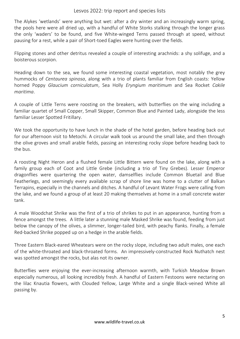The Alykes 'wetlands' were anything but wet: after a dry winter and an increasingly warm spring, the pools here were all dried up, with a handful of White Storks stalking through the longer grass the only 'waders' to be found, and five White-winged Terns passed through at speed, without pausing for a rest, while a pair of Short-toed Eagles were hunting over the fields.

Flipping stones and other detritus revealed a couple of interesting arachnids: a shy solifuge, and a boisterous scorpion.

Heading down to the sea, we found some interesting coastal vegetation, most notably the grey hummocks of *Centaurea spinosa*, along with a trio of plants familiar from English coasts: Yellow horned Poppy *Glaucium corniculatum*, Sea Holly *Eryngium maritimum* and Sea Rocket *Cakile maritima*.

A couple of Little Terns were roosting on the breakers, with butterflies on the wing including a familiar quartet of Small Copper, Small Skipper, Common Blue and Painted Lady, alongside the less familiar Lesser Spotted Fritillary.

We took the opportunity to have lunch in the shade of the hotel garden, before heading back out for our afternoon visit to Metochi. A circular walk took us around the small lake, and then through the olive groves and small arable fields, passing an interesting rocky slope before heading back to the bus.

A roosting Night Heron and a flushed female Little Bittern were found on the lake, along with a family group each of Coot and Little Grebe (including a trio of Tiny Grebes). Lesser Emperor dragonflies were quartering the open water, damselflies include Common Bluetail and Blue Featherlegs, and seemingly every available scrap of shore line was home to a clutter of Balkan Terrapins, especially in the channels and ditches. A handful of Levant Water Frogs were calling from the lake, and we found a group of at least 20 making themselves at home in a small concrete water tank.

A male Woodchat Shrike was the first of a trio of shrikes to put in an appearance, hunting from a fence amongst the trees. A little later a stunning male Masked Shrike was found, feeding from just below the canopy of the olives, a slimmer, longer-tailed bird, with peachy flanks. Finally, a female Red-backed Shrike popped up on a hedge in the arable fields.

Three Eastern Black-eared Wheatears were on the rocky slope, including two adult males, one each of the white-throated and black-throated forms. An impressively-constructed Rock Nuthatch nest was spotted amongst the rocks, but alas not its owner.

Butterflies were enjoying the ever-increasing afternoon warmth, with Turkish Meadow Brown especially numerous, all looking incredibly fresh. A handful of Eastern Festoons were nectaring on the lilac Knautia flowers, with Clouded Yellow, Large White and a single Black-veined White all passing by.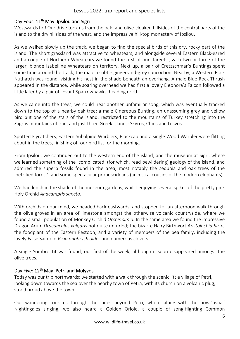#### Day Four: 11<sup>th</sup> May. Ipsilou and Sigri

Westwards ho! Our drive took us from the oak- and olive-cloaked hillsides of the central parts of the island to the dry hillsides of the west, and the impressive hill-top monastery of Ipsilou.

As we walked slowly up the track, we began to find the special birds of this dry, rocky part of the island. The short grassland was attractive to wheatears, and alongside several Eastern Black-eared and a couple of Northern Wheatears we found the first of our 'targets', with two or three of the larger, blonde Isabelline Wheatears on territory. Next up, a pair of Cretzschmar's Buntings spent some time around the track, the male a subtle ginger-and-grey concoction. Nearby, a Western Rock Nuthatch was found, visiting his nest in the shade beneath an overhang. A male Blue Rock Thrush appeared in the distance, while soaring overhead we had first a lovely Eleonora's Falcon followed a little later by a pair of Levant Sparrowhawks, heading north.

As we came into the trees, we could hear another unfamiliar song, which was eventually tracked down to the top of a nearby oak tree: a male Cinereous Bunting, an unassuming grey and yellow bird but one of the stars of the island, restricted to the mountains of Turkey stretching into the Zagros mountains of Iran, and just three Greek islands: Skyros, Chios and Lesvos.

Spotted Flycatchers, Eastern Subalpine Warblers, Blackcap and a single Wood Warbler were flitting about in the trees, finishing off our bird list for the morning.

From Ipsilou, we continued out to the western end of the island, and the museum at Sigri, where we learned something of the 'complicated' (for which, read bewildering) geology of the island, and admired the superb fossils found in the area, most notably the sequoia and oak trees of the 'petrified forest', and some spectacular proboscideans (ancestral cousins of the modern elephants).

We had lunch in the shade of the museum gardens, whilst enjoying several spikes of the pretty pink Holy Orchid *Anacamptis sancta.* 

With orchids on our mind, we headed back eastwards, and stopped for an afternoon walk through the olive groves in an area of limestone amongst the otherwise volcanic countryside, where we found a small population of Monkey Orchid *Orchis simia.* In the same area we found the impressive Dragon Arum *Dracunculus vulgaris* not quite unfurled; the bizarre Hairy Birthwort *Aristolochia hirta,*  the foodplant of the Eastern Festoon; and a variety of members of the pea family, including the lovely False Sainfoin *Vicia onobrychioides* and numerous clovers.

A single Sombre Tit was found, our first of the week, although it soon disappeared amongst the olive trees.

#### Day Five: 12<sup>th</sup> May. Petri and Molyvos

Today was our trip northwards: we started with a walk through the scenic little village of Petri, looking down towards the sea over the nearby town of Petra, with its church on a volcanic plug, stood proud above the town.

Our wandering took us through the lanes beyond Petri, where along with the now-'usual' Nightingales singing, we also heard a Golden Oriole, a couple of song-flighting Common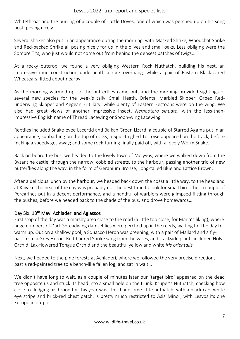Whitethroat and the purring of a couple of Turtle Doves, one of which was perched up on his song post, posing nicely.

Several shrikes also put in an appearance during the morning, with Masked Shrike, Woodchat Shrike and Red-backed Shrike all posing nicely for us in the olives and small oaks. Less obliging were the Sombre Tits, who just would not come out from behind the densest patches of twigs…

At a rocky outcrop, we found a very obliging Western Rock Nuthatch, building his nest, an impressive mud construction underneath a rock overhang, while a pair of Eastern Black-eared Wheatears flitted about nearby.

As the morning warmed up, so the butterflies came out, and the morning provided sightings of several new species for the week's tally: Small Heath, Oriental Marbled Skipper, Orbed Redunderwing Skipper and Aegean Fritillary, while plenty of Eastern Festoons were on the wing. We also had great views of another impressive insect, *Nemoptera sinuata,* with the less-thanimpressive English name of Thread Lacewing or Spoon-wing Lacewing.

Reptiles included Snake-eyed Lacertid and Balkan Green Lizard; a couple of Starred Agama put in an appearance, sunbathing on the top of rocks; a Spur-thighed Tortoise appeared on the track, before making a speedy get-away; and some rock-turning finally paid off, with a lovely Worm Snake.

Back on board the bus, we headed to the lovely town of Molyvos, where we walked down from the Byzantine castle, through the narrow, cobbled streets, to the harbour, passing another trio of new butterflies along the way, in the form of Geranium Bronze, Long-tailed Blue and Lattice Brown.

After a delicious lunch by the harbour, we headed back down the coast a little way, to the headland at Kavaki. The heat of the day was probably not the best time to look for small birds, but a couple of Peregrines put in a decent performance, and a handful of warblers were glimpsed flitting through the bushes, before we headed back to the shade of the bus, and drove homewards…

#### Day Six: 13<sup>th</sup> May. Achladeri and Agiassos

First stop of the day was a marshy area close to the road (a little too close, for Maria's liking), where huge numbers of Dark Spreadwing damselflies were perched up in the reeds, waiting for the day to warm up. Out on a shallow pool, a Squacco Heron was preening, with a pair of Mallard and a flypast from a Grey Heron. Red-backed Shrike sang from the wires, and trackside plants included Holy Orchid, Lax-flowered Tongue Orchid and the beautiful yellow and white *Iris orientalis.* 

Next, we headed to the pine forests at Achladeri, where we followed the very precise directions past a red-painted tree to a bench-like fallen log, and sat in wait…

We didn't have long to wait, as a couple of minutes later our 'target bird' appeared on the dead tree opposite us and stuck its head into a small hole on the trunk: Krüper's Nuthatch, checking how close to fledging his brood for this year was. This handsome little nuthatch, with a black cap, white eye stripe and brick-red chest patch, is pretty much restricted to Asia Minor, with Lesvos its one European outpost.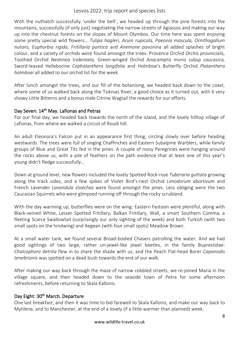With the nuthatch successfully 'under the belt', we headed up through the pine forests into the mountains, successfully (if only just) negotiating the narrow streets of Agiassos and making our way up into the chestnut forests on the slopes of Mount Olymbos. Our time here was spent enjoying some pretty special wild flowers… *Tulipa hagleri, Arum rupicola, Paeonia mascula, Ornithogallum nutans, Euphorbia rigida, Fritillaria pontica* and *Anemone pavonina* all added splashes of bright colour, and a variety of orchids were found amongst the trees: Provence Orchid *Orchis provincialis,*  Toothed Orchid *Neotinea tridentata,* Green-winged Orchid *Anacamptis morio* subsp *caucasica,*  Sword-leaved Helleborine *Cephalanthera longifolia* and Holmboe's Butterfly Orchid *Platanthera holmboei* all added to our orchid list for the week.

After lunch amongst the trees, and our fill of the botanising, we headed back down to the coast, where some of us walked back along the Tsiknias River, a good choice as it turned out, with 6 very showy Little Bitterns and a bonus male Citrine Wagtail the rewards for our efforts.

#### Day Seven: 14<sup>th</sup> May. Lafionas and Petras

For our final day, we headed back towards the north of the island, and the lovely hilltop village of Lafionas, from where we walked a circuit of Roudi hill.

An adult Eleonora's Falcon put in an appearance first thing, circling slowly over before heading westwards. The trees were full of singing Chaffinches and Eastern Subalpine Warblers, while family groups of Blue and Great Tits fed in the pines. A couple of noisy Peregrines were hanging around the rocks above us, with a pile of feathers on the path evidence that at least one of this year's young didn't fledge successfully…

Down at ground level, new flowers included the lovely Spotted Rock-rose *Tuberaria guttata* growing along the track sides, and a few spikes of Violet Bird's-nest Orchid *Limodorum abortivum* and French Lavender *Lavandula stoechas* were found amongst the pines. Less obliging were the two Caucasian Squirrels who were glimpsed running off through the rocky scrubland.

With the day warming up, butterflies were on the wing: Eastern Festoon were plentiful, along with Black-veined White, Lesser Spotted Fritillary, Balkan Fritillary, Wall, a smart Southern Comma, a fleeting Scarce Swallowtail (surprisingly our only sighting of the week) and both Turkish (with two small spots on the hindwing) and Aegean (with four small spots) Meadow Brown.

At a small water tank, we found several Broad-bodied Chasers patrolling the water. And we had good sightings of two large, rather un-jewel-like jewel beetles, in the family Buprestidae: *Chalcophora detrita* flew in to share the shade with us, and the Peach Flat-head Borer *Capanodis tenebrionis* was spotted on a dead bush towards the end of our walk.

After making our way back through the maze of narrow cobbled streets, we re-joined Maria in the village square, and then headed down to the seaside town of Petra for some afternoon refreshments, before returning to Skala Kallonis.

#### Day Eight: 30<sup>th</sup> March. Departure

One last breakfast, and then it was time to bid farewell to Skala Kallonis, and make our way back to Mytilene, and to Manchester, at the end of a lovely (if a little warmer than planned) week.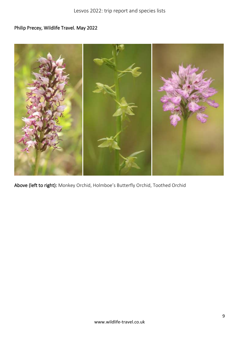### Philip Precey, Wildlife Travel. May 2022



Above (left to right): Monkey Orchid, Holmboe's Butterfly Orchid, Toothed Orchid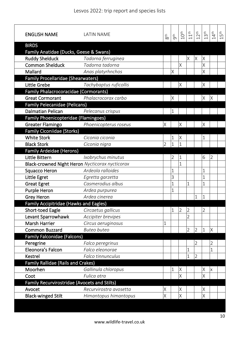| <b>ENGLISH NAME</b>                             | <b>LATIN NAME</b>      | 8 <sup>th</sup> | gth            | 10 <sup>th</sup> | 11 <sup>th</sup> | 12 <sup>th</sup> | 13 <sup>th</sup> | 14 <sup>th</sup> | 15 <sup>th</sup> |
|-------------------------------------------------|------------------------|-----------------|----------------|------------------|------------------|------------------|------------------|------------------|------------------|
| <b>BIRDS</b>                                    |                        |                 |                |                  |                  |                  |                  |                  |                  |
| Family Anatidae (Ducks, Geese & Swans)          |                        |                 |                |                  |                  |                  |                  |                  |                  |
| <b>Ruddy Shelduck</b>                           | Tadorna ferruginea     |                 |                |                  | $\times$         | Χ                | Χ                |                  |                  |
| <b>Common Shelduck</b>                          | Tadorna tadorna        |                 |                | X                |                  |                  | X                |                  |                  |
| Mallard                                         | Anas platyrhnchos      |                 | X              |                  |                  |                  | X                |                  |                  |
| <b>Family Procellaridae (Shearwaters)</b>       |                        |                 |                |                  |                  |                  |                  |                  |                  |
| Little Grebe                                    | Tachybaptus ruficollis |                 |                | Χ                |                  |                  | X                |                  |                  |
| Family Phalacrocoracidae (Cormorants)           |                        |                 |                |                  |                  |                  |                  |                  |                  |
| <b>Great Cormorant</b>                          | Phalacrocorax carbo    |                 | X              |                  |                  |                  | X                | Χ                |                  |
| <b>Family Pelecanidae (Pelicans)</b>            |                        |                 |                |                  |                  |                  |                  |                  |                  |
| <b>Dalmatian Pelican</b>                        | Pelecanus crispus      |                 | $\mathbf 1$    |                  |                  |                  |                  |                  |                  |
| Family Phoenicopteridae (Flamingoes)            |                        |                 |                |                  |                  |                  |                  |                  |                  |
| <b>Greater Flamingo</b>                         | Phoenicopterus roseus  | Χ               |                | Χ                |                  |                  | X                |                  |                  |
| <b>Family Ciconiidae (Storks)</b>               |                        |                 |                |                  |                  |                  |                  |                  |                  |
| <b>White Stork</b>                              | Ciconia ciconia        |                 | $\mathbf 1$    | Χ                |                  |                  | $\mathbf 1$      |                  |                  |
| <b>Black Stork</b>                              | Ciconia nigra          | 2               | $\mathbf{1}$   | 1                |                  |                  |                  |                  |                  |
| <b>Family Ardeidae (Herons)</b>                 |                        |                 |                |                  |                  |                  |                  |                  |                  |
| Little Bittern                                  | Ixobrychus minutus     |                 | $\overline{2}$ | 1                |                  |                  | 6                | 2                |                  |
| Black-crowned Night Heron Nycticorax nycticorax |                        |                 |                | $\mathbf{1}$     |                  |                  |                  |                  |                  |
| <b>Squacco Heron</b>                            | Ardeola ralloides      |                 | $\mathbf 1$    |                  |                  |                  | $\mathbf{1}$     |                  |                  |
| Little Egret                                    | Egretta garzetta       |                 | 3              |                  |                  |                  | $\mathbf 1$      |                  |                  |
| <b>Great Egret</b>                              | Casmerodius albus      |                 | $\overline{1}$ |                  | $\overline{1}$   |                  | $\overline{1}$   |                  |                  |
| <b>Purple Heron</b>                             | Ardea purpurea         |                 | $\mathbf{1}$   |                  |                  |                  |                  |                  |                  |
| <b>Grey Heron</b>                               | Ardea cinerea          |                 |                |                  |                  | 1                | 1                |                  |                  |
| Family Accipitridae (Hawks and Eagles)          |                        |                 |                |                  |                  |                  |                  |                  |                  |
| Short-toed Eagle                                | Circaetus gallicus     |                 | $\mathbf 1$    | $\overline{2}$   | $\overline{2}$   |                  | 2                |                  |                  |
| Levant Sparrowhawk                              | Accipiter brevipes     |                 |                |                  | $\overline{2}$   |                  |                  |                  |                  |
| <b>Marsh Harrier</b>                            | Circus aeruginosus     | 1               |                |                  |                  |                  |                  |                  |                  |
| <b>Common Buzzard</b>                           | <b>Buteo buteo</b>     |                 |                |                  | $\overline{2}$   | $\overline{2}$   | $\mathbf{1}$     | Χ                |                  |
| <b>Family Falconidae (Falcons)</b>              |                        |                 |                |                  |                  |                  |                  |                  |                  |
| Peregrine                                       | Falco peregrinus       |                 |                |                  |                  | 2                |                  | $\overline{2}$   |                  |
| Eleonora's Falcon                               | Falco eleonorae        |                 |                |                  | 1                |                  |                  | $\mathbf 1$      |                  |
| <b>Kestrel</b>                                  | Falco tinnunculus      |                 |                |                  | $\overline{1}$   | $\overline{2}$   |                  |                  |                  |
| <b>Family Rallidae (Rails and Crakes)</b>       |                        |                 |                |                  |                  |                  |                  |                  |                  |
| Moorhen                                         | Gallinula chloropus    |                 | $\mathbf{1}$   | Χ                |                  |                  | X                | X                |                  |
| Coot                                            | Fulica atra            |                 |                | Χ                |                  |                  | X                |                  |                  |
| Family Recurvirostridae (Avocets and Stilts)    |                        |                 |                |                  |                  |                  |                  |                  |                  |
| Avocet                                          | Recurvirostra avosetta | Χ               |                | Χ                |                  |                  | $\times$         |                  |                  |
| <b>Black-winged Stilt</b>                       | Himantopus himantopus  | Χ               |                | Χ                |                  |                  | X                |                  |                  |
|                                                 |                        |                 |                |                  |                  |                  |                  |                  |                  |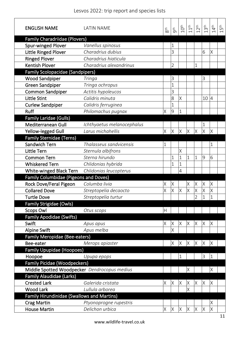| <b>ENGLISH NAME</b>                               | <b>LATIN NAME</b>          | 8 <sup>th</sup> | gth            | 10 <sup>th</sup> | 11 <sup>th</sup> | 12 <sup>th</sup> | 13 <sup>th</sup> | 14 <sup>th</sup> | 15 <sup>th</sup> |
|---------------------------------------------------|----------------------------|-----------------|----------------|------------------|------------------|------------------|------------------|------------------|------------------|
| <b>Family Charadriidae (Plovers)</b>              |                            |                 |                |                  |                  |                  |                  |                  |                  |
| Spur-winged Plover                                | Vanellus spinosus          |                 | 1              |                  |                  |                  |                  |                  |                  |
| Little Ringed Plover                              | Charadrius dubius          |                 | 3              |                  |                  |                  | 6                | Χ                |                  |
| <b>Ringed Plover</b>                              | Charadrius hiaticula       |                 |                |                  |                  |                  |                  |                  |                  |
| <b>Kentish Plover</b>                             | Charadrius alexandrinus    |                 | $\overline{2}$ |                  |                  | 1                |                  |                  |                  |
| <b>Family Scolopacidae (Sandpipers)</b>           |                            |                 |                |                  |                  |                  |                  |                  |                  |
| <b>Wood Sandpiper</b>                             | Tringa                     |                 | 3              |                  |                  |                  | 3                |                  |                  |
| <b>Green Sandpiper</b>                            | Tringa ochropus            |                 | $\mathbf 1$    |                  |                  |                  |                  |                  |                  |
| <b>Common Sandpiper</b>                           | Actitis hypoleucos         |                 | 3              |                  |                  |                  |                  |                  |                  |
| <b>Little Stint</b>                               | Calidris minuta            |                 | 8              | Χ                |                  |                  | 10               | $\overline{4}$   |                  |
| <b>Curlew Sandpiper</b>                           | Calidris ferruginea        |                 | $\mathbf 1$    |                  |                  |                  |                  |                  |                  |
| Ruff                                              | Philomachus pugnax         | Χ               | $\overline{9}$ | 1                |                  |                  |                  |                  |                  |
| Family Laridae (Gulls)                            |                            |                 |                |                  |                  |                  |                  |                  |                  |
| Mediterranean Gull                                | Ichthyaetus melanocephalus |                 |                |                  |                  |                  | 1                |                  |                  |
| Yellow-legged Gull                                | Larus michahellis          | Χ               | X              | X                | $\times$         | X                | X                | $\times$         |                  |
| <b>Family Sternidae (Terns)</b>                   |                            |                 |                |                  |                  |                  |                  |                  |                  |
| <b>Sandwich Tern</b>                              | Thalasseus sandvicensis    | 1               |                |                  |                  |                  |                  | 1                |                  |
| <b>Little Tern</b>                                | Sternula albifrons         |                 |                | Χ                |                  |                  |                  |                  |                  |
| <b>Common Tern</b>                                | Sterna hirundo             |                 | $\mathbf 1$    | $\overline{1}$   | $\overline{1}$   | $\overline{1}$   | $\overline{9}$   | 6                |                  |
| <b>Whiskered Tern</b>                             | Chlidonias hybrida         |                 | $\mathbf 1$    | $\mathbf 1$      |                  |                  |                  |                  |                  |
| White-winged Black Tern                           | Chlidonias leucopterus     |                 |                | 4                |                  |                  |                  |                  |                  |
| <b>Family Columbidae (Pigeons and Doves)</b>      |                            |                 |                |                  |                  |                  |                  |                  |                  |
| Rock Dove/Feral Pigeon                            | Columba livia              | Χ               | X              |                  | $\times$         | X                | X                | $\times$         |                  |
| <b>Collared Dove</b>                              | Streptopelia decaocto      | Χ               | $\times$       | X                | X                | Χ                | X                | Χ                |                  |
| <b>Turtle Dove</b>                                | Streptopelia turtur        |                 |                |                  |                  | $\mathfrak{D}$   |                  | 1                |                  |
| <b>Family Strigidae (Owls)</b>                    |                            |                 |                |                  |                  |                  |                  |                  |                  |
| <b>Scops Owl</b>                                  | Otus scops                 | H               |                |                  |                  |                  |                  |                  |                  |
| <b>Family Apodidae (Swifts)</b>                   |                            |                 |                |                  |                  |                  |                  |                  |                  |
| Swift                                             | Apus apus                  | Χ               | X              | Χ                | X                | Χ                | Χ                | Χ                |                  |
| <b>Alpine Swift</b>                               | Apus melba                 |                 | $\times$       |                  |                  |                  |                  |                  |                  |
| <b>Family Meropidae (Bee-eaters)</b>              |                            |                 |                |                  |                  |                  |                  |                  |                  |
| Bee-eater                                         | Merops apiaster            |                 | X              | $\times$         | $\times$         | $\mathsf{X}$     | X                | $\mathsf{X}$     |                  |
| <b>Family Upupidae (Hoopoes)</b>                  |                            |                 |                |                  |                  |                  |                  |                  |                  |
| Hoopoe                                            | Upupa epops                |                 |                | 1                |                  |                  | 3                | $\overline{1}$   |                  |
| <b>Family Picidae (Woodpeckers)</b>               |                            |                 |                |                  |                  |                  |                  |                  |                  |
| Middle Spotted Woodpecker Dendrocopus medius      |                            |                 |                |                  | Χ                |                  |                  | X                |                  |
| <b>Family Alaudidae (Larks)</b>                   |                            |                 |                |                  |                  |                  |                  |                  |                  |
| <b>Crested Lark</b>                               | Galerida cristata          | Χ               | X              | $\times$         | X                | X                | X                | $\mathsf X$      |                  |
| <b>Wood Lark</b>                                  | Lullula arborea            |                 |                |                  | X                |                  |                  |                  |                  |
| <b>Family Hirundinidae (Swallows and Martins)</b> |                            |                 |                |                  |                  |                  |                  |                  |                  |
| <b>Crag Martin</b>                                | Ptyonoprogne rupestris     |                 |                |                  |                  |                  |                  | X                |                  |
| <b>House Martin</b>                               | Delichon urbica            | Χ               | X              | $\mathsf X$      | X                | $\times$         | Χ                | $\times$         |                  |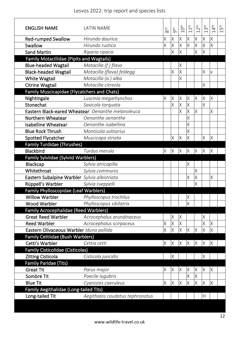| <b>ENGLISH NAME</b>                          | <b>LATIN NAME</b>                                 | 8 <sup>th</sup> | gth          | 10 <sup>th</sup> | 1 <sup>th</sup>         | 2 <sup>th</sup>         | 13 <sup>th</sup> | 14 <sup>th</sup> | 15 <sup>th</sup> |
|----------------------------------------------|---------------------------------------------------|-----------------|--------------|------------------|-------------------------|-------------------------|------------------|------------------|------------------|
| <b>Red-rumped Swallow</b>                    | Hirundo daurica                                   | Χ               | $\times$     | X                | $\times$                | X                       | $\times$         | X                |                  |
| Swallow                                      | Hirundo rustica                                   | χ               | $\times$     | Χ                | $\times$                | X                       | $\times$         | Χ                |                  |
| <b>Sand Martin</b>                           | Riparia riparia                                   |                 | $\times$     | X                |                         | $\overline{\mathsf{X}}$ | X                |                  |                  |
| Family Motacillidae (Pipits and Wagtails)    |                                                   |                 |              |                  |                         |                         |                  |                  |                  |
| <b>Blue-headed Wagtail</b>                   | Motacilla (f.) flava                              |                 |              | Χ                |                         |                         |                  |                  |                  |
| <b>Black-headed Wagtail</b>                  | Motacilla (flava) feldegg                         |                 | X            | Χ                |                         |                         | X                | Χ                |                  |
| <b>White Wagtail</b>                         | Motacilla (a.) alba                               |                 |              | X                |                         |                         |                  |                  |                  |
| <b>Citrine Wagtail</b>                       | Motacilla citreola                                |                 |              |                  |                         |                         | $\times$         |                  |                  |
| Family Muscicapidae (Flycatchers and Chats)  |                                                   |                 |              |                  |                         |                         |                  |                  |                  |
| Nightingale                                  | Luscinia megarhynchos                             | Χ               | X            | Χ                | X                       | Χ                       | X                | Χ                |                  |
| Stonechat                                    | Saxicola torquata                                 |                 | X            | Χ                | X                       |                         | X                |                  |                  |
|                                              | Eastern Black-eared Wheatear Oenanthe melanoleuca |                 |              | χ                | $\times$                | X                       |                  | Χ                |                  |
| Northern Wheatear                            | Oenanthe oenanthe                                 |                 |              |                  | Χ                       |                         |                  |                  |                  |
| <b>Isabelline Wheatear</b>                   | Oenanthe isabelling                               |                 |              |                  | $\overline{\mathsf{X}}$ |                         |                  |                  |                  |
| <b>Blue Rock Thrush</b>                      | Monticola solitarius                              |                 |              |                  | $\times$                |                         |                  |                  |                  |
| Spotted Flycatcher                           | Muscicapa striata                                 |                 | X            | X                | $\times$                |                         | $\times$         | X                |                  |
| <b>Family Turdidae (Thrushes)</b>            |                                                   |                 |              |                  |                         |                         |                  |                  |                  |
| <b>Blackbird</b>                             | Turdus merula                                     | Χ               | X            | Χ                | X                       | Χ                       | X                | Χ                |                  |
| Family Sylviidae (Sylviid Warblers)          |                                                   |                 |              |                  |                         |                         |                  |                  |                  |
| <b>Blackcap</b>                              | Sylvia atricapilla                                |                 |              |                  | X                       |                         |                  |                  |                  |
| Whitethroat                                  | Sylvia communis                                   |                 |              |                  |                         | X                       |                  |                  |                  |
| Eastern Subalpine Warbler Sylvia albistriata |                                                   |                 |              |                  | X                       | X                       |                  | Χ                |                  |
| Rüppell's Warbler                            | Sylvia rueppelli                                  |                 |              |                  |                         | χ                       |                  |                  |                  |
| Family Phylloscopidae (Leaf Warblers)        |                                                   |                 |              |                  |                         |                         |                  |                  |                  |
| <b>Willow Warbler</b>                        | Phylloscopus trochilus                            |                 |              |                  | X                       |                         |                  |                  |                  |
| <b>Wood Warbler</b>                          | Phylloscopus sibilatrix                           |                 |              |                  | $\times$                |                         |                  |                  |                  |
| <b>Family Acrocephalidae (Reed Warblers)</b> |                                                   |                 |              |                  |                         |                         |                  |                  |                  |
| <b>Great Reed Warbler</b>                    | Acrocephalus arundinaceus                         |                 | Χ            | Χ                |                         |                         | Χ                |                  |                  |
| <b>Reed Warbler</b>                          | Acrocephalus scirpaceus                           | χ               | $\times$     | X                |                         |                         | X                | Χ                |                  |
| Eastern Olivaceous Warbler Iduna pallida     |                                                   | Χ               | X            | Χ                | X                       | X                       | X                | Χ                |                  |
| Family Cettiidae (Bush Warblers)             |                                                   |                 |              |                  |                         |                         |                  |                  |                  |
| Cetti's Warbler                              | Cettia cetti                                      | Χ               | $\mathsf{X}$ | $\times$         | $\times$                | $\times$                | X                | $\mathsf X$      |                  |
| <b>Family Cisticolidae (Cisticolas)</b>      |                                                   |                 |              |                  |                         |                         |                  |                  |                  |
| <b>Zitting Cisticola</b>                     | Cisticola juncidis                                |                 | X            |                  |                         |                         | X                |                  |                  |
| <b>Family Paridae (Tits)</b>                 |                                                   |                 |              |                  |                         |                         |                  |                  |                  |
| <b>Great Tit</b>                             | Parus major                                       | Χ               | IX           | Χ                | X                       | Χ                       | X                | Χ                |                  |
| Sombre Tit                                   | Poecile lugubris                                  |                 |              |                  | Χ                       | Χ                       |                  |                  |                  |
| <b>Blue Tit</b>                              | Cyanistes caeruleus                               | Χ               | X            | Χ                | $\times$                | X                       | $\times$         | Χ                |                  |
| Family Aegithalidae (Long-tailed Tits)       |                                                   |                 |              |                  |                         |                         |                  |                  |                  |
| Long-tailed Tit                              | Aegithalos caudatus tephronotus                   |                 |              |                  |                         |                         | H                |                  |                  |
|                                              |                                                   |                 |              |                  |                         |                         |                  |                  |                  |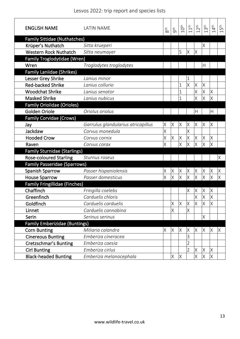| <b>ENGLISH NAME</b>                  | <b>LATIN NAME</b>                  | 8 <sup>th</sup> | gth | $10^{\rm th}$ | 1 <sup>th</sup> | 2 <sup>th</sup> | 3 <sup>th</sup> | $4^{\text{th}}$<br>$\overline{\phantom{0}}$ | Бħ<br>$\overline{\phantom{0}}$ |
|--------------------------------------|------------------------------------|-----------------|-----|---------------|-----------------|-----------------|-----------------|---------------------------------------------|--------------------------------|
| <b>Family Sittidae (Nuthatches)</b>  |                                    |                 |     |               |                 |                 |                 |                                             |                                |
| Krüper's Nuthatch                    | Sitta krueperi                     |                 |     |               |                 |                 | Χ               |                                             |                                |
| <b>Western Rock Nuthatch</b>         | Sitta neumayer                     |                 |     | S             | $\times$        | $\times$        |                 |                                             |                                |
| Family Troglodytidae (Wren)          |                                    |                 |     |               |                 |                 |                 |                                             |                                |
| Wren                                 | Troglodytes troglodytes            |                 |     |               |                 |                 | Н               |                                             |                                |
| <b>Family Laniidae (Shrikes)</b>     |                                    |                 |     |               |                 |                 |                 |                                             |                                |
| Lesser Grey Shrike                   | Lanius minor                       |                 |     |               |                 |                 |                 |                                             |                                |
| <b>Red-backed Shrike</b>             | Lanius collurio                    |                 |     | 1             | X               | X               | X               |                                             |                                |
| <b>Woodchat Shrike</b>               | Lanius senator                     |                 |     | 1             |                 | Χ               | X               | X                                           |                                |
| <b>Masked Shrike</b>                 | Lanius nubicus                     |                 |     |               |                 | Χ               | Χ               | Χ                                           |                                |
| <b>Family Oriolidae (Orioles)</b>    |                                    |                 |     |               |                 |                 |                 |                                             |                                |
| Golden Oriole                        | Oriolus oriolus                    |                 |     |               |                 | H               |                 | $\overline{H}$                              |                                |
| <b>Family Corvidae (Crows)</b>       |                                    |                 |     |               |                 |                 |                 |                                             |                                |
| Jay                                  | Garrulus glandularius atricapillus | Χ               | Χ   | X             | Χ               | X               | Χ               | $\times$                                    |                                |
| Jackdaw                              | Corvus monedula                    | Χ               |     |               | X               |                 |                 |                                             |                                |
| <b>Hooded Crow</b>                   | Corvus cornix                      | Χ               | Χ   | Χ             | Χ               | Χ               | Χ               | X                                           |                                |
| Raven                                | Corvus corax                       | Χ               |     | X             | $\times$        | X               | X               | Χ                                           |                                |
| <b>Family Sturnidae (Starlings)</b>  |                                    |                 |     |               |                 |                 |                 |                                             |                                |
| <b>Rose-coloured Starling</b>        | Sturnus roseus                     |                 |     |               |                 |                 |                 |                                             | Χ                              |
| <b>Family Passeridae (Sparrows)</b>  |                                    |                 |     |               |                 |                 |                 |                                             |                                |
| <b>Spanish Sparrow</b>               | Passer hispaniolensis              | Χ               | Χ   | Χ             | Χ               | Χ               | Χ               | Χ                                           | Χ                              |
| <b>House Sparrow</b>                 | Passer domesticus                  | X               | X   | $\times$      | $\times$        | $\times$        | X               | $\times$                                    | X                              |
| <b>Family Fringillidae (Finches)</b> |                                    |                 |     |               |                 |                 |                 |                                             |                                |
| Chaffinch                            | Fringilla coelebs                  |                 |     |               | Χ               | Χ               | Χ               | Χ                                           |                                |
| Greenfinch                           | Carduelis chloris                  |                 |     |               |                 | X               | X               | $\times$                                    |                                |
| Goldfinch                            | Carduelis carduelis                |                 | X   | $\times$      | X               | $\times$        | X               | $\sf X$                                     |                                |
| Linnet                               | Carduelis cannabina                |                 | Χ   |               | Χ               |                 |                 |                                             |                                |
| Serin                                | Serinus serinus                    |                 |     |               |                 |                 | X               |                                             |                                |
| <b>Family Emberizidae (Buntings)</b> |                                    |                 |     |               |                 |                 |                 |                                             |                                |
| <b>Corn Bunting</b>                  | Miliaria calandra                  | Χ               | X   | X             | Χ               | X               | Χ               | X                                           | Χ                              |
| <b>Cinereous Bunting</b>             | Emberiza cineracea                 |                 |     |               | 3               |                 |                 |                                             |                                |
| <b>Cretzschmar's Bunting</b>         | Emberiza caesia                    |                 |     |               | $\overline{2}$  |                 |                 |                                             |                                |
| <b>Cirl Bunting</b>                  | Emberiza cirlus                    |                 |     |               | $\overline{2}$  | $\times$        | X               | $\times$                                    |                                |
| <b>Black-headed Bunting</b>          | Emberiza melanocephala             |                 | X   | Χ             |                 | Χ               | Χ               | X                                           |                                |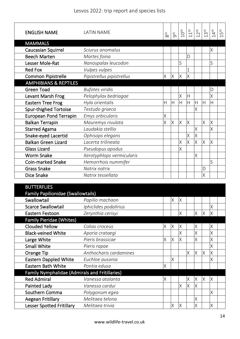| <b>ENGLISH NAME</b>                | <b>LATIN NAME</b>         | 8 <sup>th</sup> | gth      | $10^{\rm th}$ | 11 <sup>th</sup> | $12^{th}$    | 13 <sup>th</sup> | 14 <sup>th</sup> | 15 <sup>th</sup> |
|------------------------------------|---------------------------|-----------------|----------|---------------|------------------|--------------|------------------|------------------|------------------|
| <b>MAMMALS</b>                     |                           |                 |          |               |                  |              |                  |                  |                  |
| Caucasian Squirrel                 | Sciurus anomalus          |                 |          |               |                  |              |                  | Χ                |                  |
| <b>Beech Marten</b>                | Martes foina              |                 |          |               | D                |              |                  |                  |                  |
| Lesser Mole-Rat                    | Nanospalax leucodon       |                 |          | S             |                  |              |                  | S                |                  |
| <b>Red Fox</b>                     | Vulpes vulpes             |                 |          |               | $\mathbf{1}$     |              |                  |                  |                  |
| <b>Common Pipistrelle</b>          | Pipistrellus pipistrellus | Χ               | $\times$ | X             | $\times$         |              |                  |                  |                  |
| <b>AMPHIBIANS &amp; REPTILES</b>   |                           |                 |          |               |                  |              |                  |                  |                  |
| <b>Green Toad</b>                  | <b>Bufotes viridis</b>    |                 |          |               |                  |              |                  | D                |                  |
| Levant Marsh Frog                  | Pelophylax bedriagae      |                 |          | Χ             | $\mathsf{H}$     |              |                  | Χ                |                  |
| <b>Eastern Tree Frog</b>           | Hyla orientalis           | Η               | H        | H             | $\overline{H}$   | $\mathsf{H}$ | Η                | H                |                  |
| <b>Spur-thighed Tortoise</b>       | Testudo graeca            |                 |          |               |                  | Χ            |                  |                  |                  |
| <b>European Pond Terrapin</b>      | Emys orbicularis          | Χ               |          |               |                  |              |                  |                  |                  |
| <b>Balkan Terrapin</b>             | Mauremys rivulata         | X               | $\times$ | Χ             | X                |              | X                | X                |                  |
| <b>Starred Agama</b>               | Laudakia stellio          |                 |          |               |                  | X            |                  | χ                |                  |
| Snake-eyed Lacertid                | Ophisops elegans          |                 |          |               | $\times$         | X            |                  |                  |                  |
| <b>Balkan Green Lizard</b>         | Lacerta trilineata        |                 |          | Χ             | $\times$         | X            | X                | Χ                |                  |
| <b>Glass Lizard</b>                | Pseudopus apodus          |                 |          | Χ             |                  |              |                  |                  |                  |
| <b>Worm Snake</b>                  | Xerotyphlops vermicularis |                 |          |               |                  | X            |                  |                  |                  |
| <b>Coin-marked Snake</b>           | Hemorrhois nummifer       |                 |          |               |                  |              |                  | S                |                  |
| <b>Grass Snake</b>                 | Natrix natrix             |                 |          |               |                  |              | D                |                  |                  |
| Dice Snake                         | Natrix tessellata         |                 |          |               |                  |              | X                |                  |                  |
|                                    |                           |                 |          |               |                  |              |                  |                  |                  |
| <b>BUTTERFLIES</b>                 |                           |                 |          |               |                  |              |                  |                  |                  |
| Family Papilionidae (Swallowtails) |                           |                 |          |               |                  |              |                  |                  |                  |
| Swallowtail                        | Papilio machaon           |                 | X        | $\times$      |                  |              |                  |                  |                  |
| <b>Scarce Swallowtail</b>          | Iphiclides podalirius     |                 |          |               |                  |              |                  | X                |                  |
| Eastern Festoon                    | Zerynthia cerisyi         |                 |          | Χ             |                  | Χ            | $\times$         | Χ                |                  |
| <b>Family Pieridae (Whites)</b>    |                           |                 |          |               |                  |              |                  |                  |                  |
| <b>Clouded Yellow</b>              | Colias croceus            | Χ               | $\times$ | Χ             |                  | Χ            |                  | Χ                |                  |
| <b>Black-veined White</b>          | Aporia crataegi           |                 |          | Χ             |                  | X            |                  | Χ                |                  |
| Large White                        | Pieris brassicae          | Χ               | X        | Χ             |                  | X            |                  | Χ                |                  |
| <b>Small White</b>                 | Pieris rapae              |                 |          |               |                  |              |                  | Χ                |                  |

| JUUT VIIILL                                           | TICHS TUPUL            |   |    |   |    |          |    | $\sqrt{ }$ |  |
|-------------------------------------------------------|------------------------|---|----|---|----|----------|----|------------|--|
| Orange Tip                                            | Anthocharis cardamines |   |    |   | ΙX | X        | ΙX | X          |  |
| <b>Eastern Dappled White</b>                          | Euchloe ausonia        |   | ΙX |   |    |          |    | Χ          |  |
| Eastern Bath White                                    | Pontia edusa           | Χ |    |   |    |          |    |            |  |
| <b>Family Nymphalidae (Admirals and Fritillaries)</b> |                        |   |    |   |    |          |    |            |  |
| <b>Red Admiral</b>                                    | Vanessa atalanta       | X |    |   | X  | X        | IX | X          |  |
| Painted Lady                                          | Vanessa cardui         |   |    | Χ | ΙX | $\times$ |    |            |  |
| Southern Comma                                        | Polygonum egea         |   |    |   |    |          |    | Χ          |  |
| Aegean Fritillary                                     | Melitaea telona        |   |    |   |    | Χ        |    |            |  |
| <b>Lesser Spotted Fritillary</b>                      | Melitaea trivia        |   | X  |   |    | Χ        |    | Χ          |  |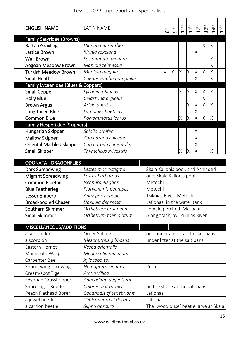| <b>ENGLISH NAME</b>                  | <b>LATIN NAME</b>      | $8th$ | gth | 10 <sup>th</sup> | $\stackrel{\text{th}}{\rightarrow}$ | 2 <sup>th</sup> | 3 <sup>th</sup> | 4 <sup>th</sup> | ۽ ا<br>م<br>$\overline{\phantom{0}}$ |
|--------------------------------------|------------------------|-------|-----|------------------|-------------------------------------|-----------------|-----------------|-----------------|--------------------------------------|
| <b>Family Satyridae (Browns)</b>     |                        |       |     |                  |                                     |                 |                 |                 |                                      |
| <b>Balkan Grayling</b>               | Hipparchia senthes     |       |     |                  |                                     |                 | Χ               | Χ               |                                      |
| Lattice Brown                        | Kirinia roxelana       |       |     |                  |                                     | X               |                 |                 |                                      |
| <b>Wall Brown</b>                    | Lasiommata megera      |       |     |                  |                                     |                 |                 | X               |                                      |
| <b>Aegean Meadow Brown</b>           | Maniola telmessia      |       |     |                  |                                     |                 |                 | X               |                                      |
| <b>Turkish Meadow Brown</b>          | Maniola megala         | Χ     | Χ   | Χ                | X                                   | X               | X               | Χ               |                                      |
| <b>Small Heath</b>                   | Coenonympha pamphilus  |       |     |                  |                                     | Χ               |                 | Χ               |                                      |
| Family Lycaenidae (Blues & Coppers)  |                        |       |     |                  |                                     |                 |                 |                 |                                      |
| <b>Small Copper</b>                  | Lycaena phlaeas        |       |     | Χ                | X                                   | X               | X               | Χ               |                                      |
| <b>Holly Blue</b>                    | Celastrina argiolus    |       |     |                  |                                     |                 | X               |                 |                                      |
| <b>Brown Argus</b>                   | Aricia agestis         |       |     |                  | X                                   | X               | X               | Χ               |                                      |
| Long-tailed Blue                     | Lampides boeticus      |       |     |                  |                                     | X               |                 |                 |                                      |
| <b>Common Blue</b>                   | Polyommatus icarus     |       |     | Χ                | $\times$                            | X               | $\times$        | X               |                                      |
| <b>Family Hesperiidae (Skippers)</b> |                        |       |     |                  |                                     |                 |                 |                 |                                      |
| Hungarian Skipper                    | Spialia orbifer        |       |     |                  |                                     | Χ               |                 |                 |                                      |
| <b>Mallow Skipper</b>                | Carcharodus alceae     |       |     |                  |                                     | Χ               |                 |                 |                                      |
| <b>Oriental Marbled Skipper</b>      | Carcharodus orientalis |       |     |                  |                                     | X               |                 |                 |                                      |
| <b>Small Skipper</b>                 | Thymelicus sylvestris  |       |     | Χ                | X                                   | X               |                 | Χ               |                                      |

| <b>ODONATA - DRAGONFLIES</b> |                       |                                    |
|------------------------------|-----------------------|------------------------------------|
| Dark Spreadwing              | Lestes macrostigma    | Skala Kallonis pool, and Achladeri |
| <b>Migrant Spreadwing</b>    | Lestes barbarous      | one, Skala Kallonis pool           |
| <b>Common Bluetail</b>       | Ischnura elegans      | Metochi                            |
| <b>Blue Featherleg</b>       | Platycnemis pennipes  | Metochi                            |
| <b>Lesser Emperor</b>        | Anax parthenope       | Tsiknias River; Metochi            |
| <b>Broad-bodied Chaser</b>   | Libellula depressa    | Lafionas, in the water tank        |
| Southern Skimmer             | Orthetrum brunneum    | Female perched, Metochi            |
| <b>Small Skimmer</b>         | Orthetrum taeniolatum | Along track, by Tsiknias River     |

| MISCELLANEOUS/ADDITIONS |                          |                                       |
|-------------------------|--------------------------|---------------------------------------|
| a sun spider            | Order Solifugae          | one under a rock at the salt pans     |
| a scorpion              | Mesobuthus gibbosus      | under litter at the salt pans         |
| Eastern Hornet          | Vespa orientalis         |                                       |
| Mammoth Wasp            | Megascolia maculata      |                                       |
| Carpenter Bee           | Xylocopa sp.             |                                       |
| Spoon-wing Lacewing     | Nemoptera sinuata        | Petri                                 |
| Cream-spot Tiger        | Arctia villica           |                                       |
| Egyptian Grasshopper    | Anacridium aegyptium     |                                       |
| Shore Tiger Beetle      | Calomera littoralis      | on the shore at the salt pans         |
| Peach Flathead Borer    | Capanodis cf tenebrionis | Lafionas                              |
| a jewel beetle          | Chalcophora cf detrita   | Lafionas                              |
| a carrion beetle        | Silpha obscura           | The 'woodlouse' beetle larve at Skala |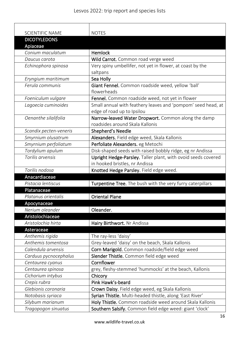| <b>SCIENTIFIC NAME</b> | <b>NOTES</b>                                                  |
|------------------------|---------------------------------------------------------------|
| <b>DICOTYLEDONS</b>    |                                                               |
| Apiaceae               |                                                               |
| Conium maculatum       | <b>Hemlock</b>                                                |
| Daucus carota          | Wild Carrot. Common road verge weed                           |
| Echinophora spinosa    | Very spiny umbellifer, not yet in flower, at coast by the     |
|                        | saltpans                                                      |
| Eryngium maritimum     | Sea Holly                                                     |
| Ferula communis        | Giant Fennel. Common roadside weed, yellow 'ball'             |
|                        | flowerheads                                                   |
| Foeniculum vulgare     | Fennel. Common roadside weed, not yet in flower               |
| Lagoecia cuminoides    | Small annual with feathery leaves and 'pompom' seed head, at  |
|                        | edge of road up to Ipsilou                                    |
| Oenanthe silalifolia   | Narrow-leaved Water Dropwort. Common along the damp           |
|                        | roadsides around Skala Kallonis                               |
| Scandix pecten-veneris | Shepherd's Needle                                             |
| Smyrnium olusatrum     | Alexanders. Field edge weed, Skala Kallonis                   |
| Smyrnium perfoliatum   | Perfoliate Alexanders. eg Metochi                             |
| Tordylium apulum       | Disk-shaped seeds with raised bobbly ridge, eg nr Andissa     |
| Torilis arvensis       | Upright Hedge-Parsley. Taller plant, with ovoid seeds covered |
|                        | in hooked bristles, nr Andissa                                |
| Torilis nodosa         | Knotted Hedge Parsley. Field edge weed.                       |
| Anacardiaceae          |                                                               |
| Pistacia lentiscus     | Turpentine Tree. The bush with the very furry caterpillars    |
| Platanaceae            |                                                               |
| Platanus orientalis    | <b>Oriental Plane</b>                                         |
| Apocynaceae            |                                                               |
| Nerium oleander        | Oleander.                                                     |
| Aristolochiaceae       |                                                               |
| Aristolochia hirta     | Hairy Birthwort. Nr Andissa                                   |
| Asteraceae             |                                                               |
| Anthemis rigida        | The ray-less 'daisy'                                          |
| Anthemis tomentosa     | Grey-leaved 'daisy' on the beach, Skala Kallonis              |
| Calendula arvensis     | Corn Marigold. Common roadside/field edge weed                |
| Carduus pycnocephalus  | Slender Thistle. Common field edge weed<br>Cornflower         |
| Centaurea cyanus       |                                                               |
| Centaurea spinosa      | grey, fleshy-stemmed 'hummocks' at the beach, Kallonis        |
| Cichorium intybus      | Chicory<br>Pink Hawk's-beard                                  |
| Crepis rubra           |                                                               |
| Glebionis coronaria    | Crown Daisy. Field edge weed, eg Skala Kallonis               |
| Notobasis syriaca      | Syrian Thistle. Multi-headed thistle, along 'East River'      |
| Silybum marianum       | Holy Thistle. Common roadside weed around Skala Kallonis      |
| Tragopogon sinuatus    | Southern Salsify. Common field edge weed: giant 'clock'       |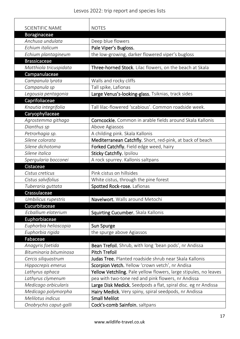| <b>SCIENTIFIC NAME</b> | <b>NOTES</b>                                                     |
|------------------------|------------------------------------------------------------------|
| Boraginaceae           |                                                                  |
| Anchusa undulata       | Deep blue flowers                                                |
| Echium italicum        | Pale Viper's Bugloss.                                            |
| Echium plantagineum    | the low-growing, darker flowered viper's bugloss                 |
| <b>Brassicaceae</b>    |                                                                  |
| Matthiola tricuspidata | Three-horned Stock. Lilac flowers, on the beach at Skala         |
| Campanulaceae          |                                                                  |
| Campanula lyrata       | Walls and rocky cliffs                                           |
| Campanula sp           | Tall spike, Lafionas                                             |
| Legousia pentagonia    | Large Venus's-looking-glass. Tsiknias, track sides               |
| Caprifoliaceae         |                                                                  |
| Knautia integrifolia   | Tall lilac-flowered 'scabious'. Common roadside week.            |
| Caryophyllaceae        |                                                                  |
| Agrostemma githago     | Corncockle. Common in arable fields around Skala Kallonis        |
| Dianthus sp            | Above Agiassos                                                   |
| Petrorhagia sp.        | A childing pink. Skala Kallonis                                  |
| Silene colorata        | Mediterranean Catchfly. Short, red-pink, at back of beach        |
| Silene dichotoma       | Forked Catchfly. Field edge weed, hairy                          |
| Silene italica         | Sticky Catchfly. Ipsilou                                         |
| Spergularia bocconei   | A rock spurrey. Kallonis saltpans                                |
| Cistaceae              |                                                                  |
| Cistus creticus        | Pink cistus on hillsides                                         |
| Cistus salvifolius     | White cistus, through the pine forest                            |
| Tuberaria guttata      | Spotted Rock-rose. Lafionas                                      |
| Crassulaceae           |                                                                  |
| Umbilicus rupestris    | Navelwort. Walls around Metochi                                  |
| Cucurbitaceae          |                                                                  |
| Ecballium elaterium    | Squirting Cucumber. Skala Kallonis                               |
| Euphorbiaceae          |                                                                  |
| Euphorbia helioscopia  | Sun Spurge                                                       |
| Euphorbia rigida       | the spurge above Agiassos                                        |
| Fabaceae               |                                                                  |
| Anagyris foetida       | Bean Trefoil. Shrub, with long 'bean pods', nr Andissa           |
| Bituminaria bituminosa | <b>Pitch Trefoil</b>                                             |
| Cercis siliquastrum    | Judas Tree. Planted roadside shrub near Skala Kallonis           |
| Hippocrepis emerus     | Scorpion Vetch. Yellow 'crown vetch', nr Andisa                  |
| Lathyrus aphaca        | Yellow Vetchling. Pale yellow flowers, large stipules, no leaves |
| Lathyrus clymenum      | pea with two-tone red and pink flowers, nr Andissa               |
| Medicago orbicularis   | Large Disk Medick. Seedpods a flat, spiral disc. eg nr Andissa   |
| Medicago polymorpha    | Hairy Medick. Very spiny, spiral seedpods, nr Andissa            |
| Melilotus indicus      | <b>Small Melilot</b>                                             |
| Onobrychis caput-galli | Cock's-comb Sainfoin. saltpans                                   |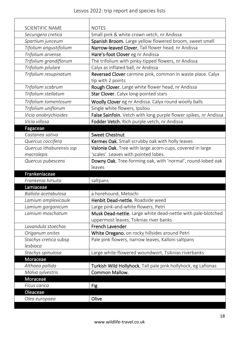| <b>SCIENTIFIC NAME</b>    | <b>NOTES</b>                                                     |
|---------------------------|------------------------------------------------------------------|
| Securigera cretica        | Small pink & white crown vetch, nr Andissa                       |
| Spartium junceum          | Spanish Broom. Large yellow flowered broom, sweet smell          |
| Tifolium angustifolium    | Narrow-leaved Clover. Tall flower head, nr Andissa               |
| Trifolium arvense         | Hare's-foot Clover eg nr Andissa                                 |
| Trifolium grandiflorum    | The trifolium with pinky-tipped flowers, nr Andissa              |
| Trifolium pilulare        | Calyx as inflated ball, nr Andissa                               |
| Trifolium resupinatum     | Reversed Clover carmine pink, common in waste place. Calyx       |
|                           | tip with 2 points                                                |
| Trifolium scabrum         | Rough Clover. Large white flower head, nr Andissa                |
| Trifolium stellatum       | Star Clover. Calyx long-pointed stars                            |
| Trifolium tomentosum      | Woolly Clover eg nr Andissa. Calyx round woolly balls            |
| Trifolium uniflorum       | Single white flowers, Ipsilou                                    |
| Vicia onobrychioides      | False Sainfoin. Vetch with long purple flower spikes, nr Andissa |
| Vicia villosa             | Fodder Vetch. Rich purple vetch, nr Andissa                      |
| Fagaceae                  |                                                                  |
| Castanea sativa           | <b>Sweet Chestnut</b>                                            |
| Quercus coccifera         | Kermes Oak. Small scrubby oak with holly leaves                  |
| Quercus ithaburensis ssp  | Valonia Oak. Tree with large acorn-cups, covered in large        |
| macrolepis                | 'scales'. Leaves with pointed lobes.                             |
| Quercus pubescens         | Downy Oak. Tree-forming oak, with 'normal', round-lobed oak      |
|                           |                                                                  |
|                           | leaves                                                           |
| Frankeniaceae             |                                                                  |
| Frankenia hirsuta         | saltpans                                                         |
| Lamiaceae                 |                                                                  |
| Ballota acetabulosa       | a horehound, Metochi                                             |
| Lamium amplexicaule       | Henbit Dead-nettle. Roadside weed                                |
| Lamium garganicum         | Large pink-and-white flowers, Petri                              |
| Lamium moschatum          | Musk Dead-nettle. Large white dead-nettle with pale-blotched     |
|                           | uppermost leaves, Tsiknias river banks                           |
| Lavandula stoechas        | French Lavender                                                  |
| Origanum onites           | White Oregano. on rocky hillsides around Petri                   |
| Stachys cretica subsp     | Pale pink flowers, narrow leaves, Kalloni saltpans               |
| lesbiaca                  |                                                                  |
| Stachys spinulosa         | Large white-flowered woundwort, Tsiknias riverbanks              |
| Moraceae                  |                                                                  |
| Althaea pallida           | Turkish Wild Hollyhock. Tall pale pink hollyhock, eg Lafionas    |
| Malva sylvestris          | Common Mallow.                                                   |
| Moraceae                  |                                                                  |
| Ficus carica              | <b>Fig</b>                                                       |
| Oleaceae<br>Olea europaea | Olive                                                            |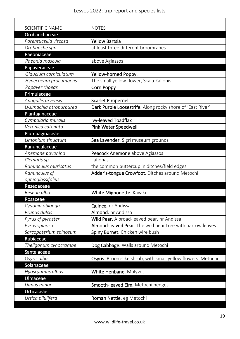| <b>SCIENTIFIC NAME</b><br><b>NOTES</b><br>Orobanchaceae<br><b>Yellow Bartsia</b><br>Parentucellia viscosa<br>at least three different broomrapes<br>Orobanche spp<br>Paeoniaceae<br>Paeonia mascula<br>above Agiassos<br>Papaveraceae<br>Glaucium corniculatum<br>Yellow-horned Poppy.<br>The small yellow flower, Skala Kallonis<br>Hypecoeum procumbens<br>Papaver rhoeas<br>Corn Poppy<br>Primulaceae<br>Anagallis arvensis<br><b>Scarlet Pimpernel</b><br>Dark Purple Loosestrife. Along rocky shore of 'East River'<br>Lysimachia atropurpurea<br>Plantaginaceae<br>Cymbalaria muralis<br>Ivy-leaved Toadflax<br>Veronica catenata<br>Pink Water Speedwell<br>Plumbaginaceae<br>Limonium sinuatum<br>Sea Lavender. Sigri museum grounds<br>Ranunculaceae<br>Peacock Anemone above Agiassos<br>Anemone pavonina<br>Lafionas<br>Clematis sp<br>Ranunculus muricatus<br>the common buttercup in ditches/field edges<br>Ranunculus cf<br>Adder's-tongue Crowfoot. Ditches around Metochi<br>ophioglossifolius<br>Resedaceae<br>Reseda alba<br>White Mignonette. Kavaki<br>Rosaceae<br>Cydonia oblonga<br>Quince. nr Andissa<br>Prunus dulcis<br>Almond. nr Andissa<br>Wild Pear. A broad-leaved pear, nr Andissa<br>Pyrus cf pyraster<br>Almond-leaved Pear. The wild pear tree with narrow leaves<br>Pyrus spinosa<br>Spiny Burnet. Chicken wire bush<br>Sarcopoterium spinosum<br>Rubiaceae<br>Dog Cabbage. Walls around Metochi<br>Theligonum cynocrambe<br>Santalaceae<br>Osyris alba<br>Osyris. Broom-like shrub, with small yellow flowers. Metochi<br>Solanaceae<br>Hyoscyamus albus<br>White Henbane. Molyvos<br>Ulmaceae<br>Ulmus minor<br>Smooth-leaved Elm. Metochi hedges |            |  |
|----------------------------------------------------------------------------------------------------------------------------------------------------------------------------------------------------------------------------------------------------------------------------------------------------------------------------------------------------------------------------------------------------------------------------------------------------------------------------------------------------------------------------------------------------------------------------------------------------------------------------------------------------------------------------------------------------------------------------------------------------------------------------------------------------------------------------------------------------------------------------------------------------------------------------------------------------------------------------------------------------------------------------------------------------------------------------------------------------------------------------------------------------------------------------------------------------------------------------------------------------------------------------------------------------------------------------------------------------------------------------------------------------------------------------------------------------------------------------------------------------------------------------------------------------------------------------------------------------------------------------------------------------------------------------------------|------------|--|
|                                                                                                                                                                                                                                                                                                                                                                                                                                                                                                                                                                                                                                                                                                                                                                                                                                                                                                                                                                                                                                                                                                                                                                                                                                                                                                                                                                                                                                                                                                                                                                                                                                                                                        |            |  |
|                                                                                                                                                                                                                                                                                                                                                                                                                                                                                                                                                                                                                                                                                                                                                                                                                                                                                                                                                                                                                                                                                                                                                                                                                                                                                                                                                                                                                                                                                                                                                                                                                                                                                        |            |  |
|                                                                                                                                                                                                                                                                                                                                                                                                                                                                                                                                                                                                                                                                                                                                                                                                                                                                                                                                                                                                                                                                                                                                                                                                                                                                                                                                                                                                                                                                                                                                                                                                                                                                                        |            |  |
|                                                                                                                                                                                                                                                                                                                                                                                                                                                                                                                                                                                                                                                                                                                                                                                                                                                                                                                                                                                                                                                                                                                                                                                                                                                                                                                                                                                                                                                                                                                                                                                                                                                                                        |            |  |
|                                                                                                                                                                                                                                                                                                                                                                                                                                                                                                                                                                                                                                                                                                                                                                                                                                                                                                                                                                                                                                                                                                                                                                                                                                                                                                                                                                                                                                                                                                                                                                                                                                                                                        |            |  |
|                                                                                                                                                                                                                                                                                                                                                                                                                                                                                                                                                                                                                                                                                                                                                                                                                                                                                                                                                                                                                                                                                                                                                                                                                                                                                                                                                                                                                                                                                                                                                                                                                                                                                        |            |  |
|                                                                                                                                                                                                                                                                                                                                                                                                                                                                                                                                                                                                                                                                                                                                                                                                                                                                                                                                                                                                                                                                                                                                                                                                                                                                                                                                                                                                                                                                                                                                                                                                                                                                                        |            |  |
|                                                                                                                                                                                                                                                                                                                                                                                                                                                                                                                                                                                                                                                                                                                                                                                                                                                                                                                                                                                                                                                                                                                                                                                                                                                                                                                                                                                                                                                                                                                                                                                                                                                                                        |            |  |
|                                                                                                                                                                                                                                                                                                                                                                                                                                                                                                                                                                                                                                                                                                                                                                                                                                                                                                                                                                                                                                                                                                                                                                                                                                                                                                                                                                                                                                                                                                                                                                                                                                                                                        |            |  |
|                                                                                                                                                                                                                                                                                                                                                                                                                                                                                                                                                                                                                                                                                                                                                                                                                                                                                                                                                                                                                                                                                                                                                                                                                                                                                                                                                                                                                                                                                                                                                                                                                                                                                        |            |  |
|                                                                                                                                                                                                                                                                                                                                                                                                                                                                                                                                                                                                                                                                                                                                                                                                                                                                                                                                                                                                                                                                                                                                                                                                                                                                                                                                                                                                                                                                                                                                                                                                                                                                                        |            |  |
|                                                                                                                                                                                                                                                                                                                                                                                                                                                                                                                                                                                                                                                                                                                                                                                                                                                                                                                                                                                                                                                                                                                                                                                                                                                                                                                                                                                                                                                                                                                                                                                                                                                                                        |            |  |
|                                                                                                                                                                                                                                                                                                                                                                                                                                                                                                                                                                                                                                                                                                                                                                                                                                                                                                                                                                                                                                                                                                                                                                                                                                                                                                                                                                                                                                                                                                                                                                                                                                                                                        |            |  |
|                                                                                                                                                                                                                                                                                                                                                                                                                                                                                                                                                                                                                                                                                                                                                                                                                                                                                                                                                                                                                                                                                                                                                                                                                                                                                                                                                                                                                                                                                                                                                                                                                                                                                        |            |  |
|                                                                                                                                                                                                                                                                                                                                                                                                                                                                                                                                                                                                                                                                                                                                                                                                                                                                                                                                                                                                                                                                                                                                                                                                                                                                                                                                                                                                                                                                                                                                                                                                                                                                                        |            |  |
|                                                                                                                                                                                                                                                                                                                                                                                                                                                                                                                                                                                                                                                                                                                                                                                                                                                                                                                                                                                                                                                                                                                                                                                                                                                                                                                                                                                                                                                                                                                                                                                                                                                                                        |            |  |
|                                                                                                                                                                                                                                                                                                                                                                                                                                                                                                                                                                                                                                                                                                                                                                                                                                                                                                                                                                                                                                                                                                                                                                                                                                                                                                                                                                                                                                                                                                                                                                                                                                                                                        |            |  |
|                                                                                                                                                                                                                                                                                                                                                                                                                                                                                                                                                                                                                                                                                                                                                                                                                                                                                                                                                                                                                                                                                                                                                                                                                                                                                                                                                                                                                                                                                                                                                                                                                                                                                        |            |  |
|                                                                                                                                                                                                                                                                                                                                                                                                                                                                                                                                                                                                                                                                                                                                                                                                                                                                                                                                                                                                                                                                                                                                                                                                                                                                                                                                                                                                                                                                                                                                                                                                                                                                                        |            |  |
|                                                                                                                                                                                                                                                                                                                                                                                                                                                                                                                                                                                                                                                                                                                                                                                                                                                                                                                                                                                                                                                                                                                                                                                                                                                                                                                                                                                                                                                                                                                                                                                                                                                                                        |            |  |
|                                                                                                                                                                                                                                                                                                                                                                                                                                                                                                                                                                                                                                                                                                                                                                                                                                                                                                                                                                                                                                                                                                                                                                                                                                                                                                                                                                                                                                                                                                                                                                                                                                                                                        |            |  |
|                                                                                                                                                                                                                                                                                                                                                                                                                                                                                                                                                                                                                                                                                                                                                                                                                                                                                                                                                                                                                                                                                                                                                                                                                                                                                                                                                                                                                                                                                                                                                                                                                                                                                        |            |  |
|                                                                                                                                                                                                                                                                                                                                                                                                                                                                                                                                                                                                                                                                                                                                                                                                                                                                                                                                                                                                                                                                                                                                                                                                                                                                                                                                                                                                                                                                                                                                                                                                                                                                                        |            |  |
|                                                                                                                                                                                                                                                                                                                                                                                                                                                                                                                                                                                                                                                                                                                                                                                                                                                                                                                                                                                                                                                                                                                                                                                                                                                                                                                                                                                                                                                                                                                                                                                                                                                                                        |            |  |
|                                                                                                                                                                                                                                                                                                                                                                                                                                                                                                                                                                                                                                                                                                                                                                                                                                                                                                                                                                                                                                                                                                                                                                                                                                                                                                                                                                                                                                                                                                                                                                                                                                                                                        |            |  |
|                                                                                                                                                                                                                                                                                                                                                                                                                                                                                                                                                                                                                                                                                                                                                                                                                                                                                                                                                                                                                                                                                                                                                                                                                                                                                                                                                                                                                                                                                                                                                                                                                                                                                        |            |  |
|                                                                                                                                                                                                                                                                                                                                                                                                                                                                                                                                                                                                                                                                                                                                                                                                                                                                                                                                                                                                                                                                                                                                                                                                                                                                                                                                                                                                                                                                                                                                                                                                                                                                                        |            |  |
|                                                                                                                                                                                                                                                                                                                                                                                                                                                                                                                                                                                                                                                                                                                                                                                                                                                                                                                                                                                                                                                                                                                                                                                                                                                                                                                                                                                                                                                                                                                                                                                                                                                                                        |            |  |
|                                                                                                                                                                                                                                                                                                                                                                                                                                                                                                                                                                                                                                                                                                                                                                                                                                                                                                                                                                                                                                                                                                                                                                                                                                                                                                                                                                                                                                                                                                                                                                                                                                                                                        |            |  |
|                                                                                                                                                                                                                                                                                                                                                                                                                                                                                                                                                                                                                                                                                                                                                                                                                                                                                                                                                                                                                                                                                                                                                                                                                                                                                                                                                                                                                                                                                                                                                                                                                                                                                        |            |  |
|                                                                                                                                                                                                                                                                                                                                                                                                                                                                                                                                                                                                                                                                                                                                                                                                                                                                                                                                                                                                                                                                                                                                                                                                                                                                                                                                                                                                                                                                                                                                                                                                                                                                                        |            |  |
|                                                                                                                                                                                                                                                                                                                                                                                                                                                                                                                                                                                                                                                                                                                                                                                                                                                                                                                                                                                                                                                                                                                                                                                                                                                                                                                                                                                                                                                                                                                                                                                                                                                                                        |            |  |
|                                                                                                                                                                                                                                                                                                                                                                                                                                                                                                                                                                                                                                                                                                                                                                                                                                                                                                                                                                                                                                                                                                                                                                                                                                                                                                                                                                                                                                                                                                                                                                                                                                                                                        |            |  |
|                                                                                                                                                                                                                                                                                                                                                                                                                                                                                                                                                                                                                                                                                                                                                                                                                                                                                                                                                                                                                                                                                                                                                                                                                                                                                                                                                                                                                                                                                                                                                                                                                                                                                        |            |  |
|                                                                                                                                                                                                                                                                                                                                                                                                                                                                                                                                                                                                                                                                                                                                                                                                                                                                                                                                                                                                                                                                                                                                                                                                                                                                                                                                                                                                                                                                                                                                                                                                                                                                                        |            |  |
|                                                                                                                                                                                                                                                                                                                                                                                                                                                                                                                                                                                                                                                                                                                                                                                                                                                                                                                                                                                                                                                                                                                                                                                                                                                                                                                                                                                                                                                                                                                                                                                                                                                                                        |            |  |
|                                                                                                                                                                                                                                                                                                                                                                                                                                                                                                                                                                                                                                                                                                                                                                                                                                                                                                                                                                                                                                                                                                                                                                                                                                                                                                                                                                                                                                                                                                                                                                                                                                                                                        |            |  |
|                                                                                                                                                                                                                                                                                                                                                                                                                                                                                                                                                                                                                                                                                                                                                                                                                                                                                                                                                                                                                                                                                                                                                                                                                                                                                                                                                                                                                                                                                                                                                                                                                                                                                        |            |  |
|                                                                                                                                                                                                                                                                                                                                                                                                                                                                                                                                                                                                                                                                                                                                                                                                                                                                                                                                                                                                                                                                                                                                                                                                                                                                                                                                                                                                                                                                                                                                                                                                                                                                                        |            |  |
|                                                                                                                                                                                                                                                                                                                                                                                                                                                                                                                                                                                                                                                                                                                                                                                                                                                                                                                                                                                                                                                                                                                                                                                                                                                                                                                                                                                                                                                                                                                                                                                                                                                                                        |            |  |
|                                                                                                                                                                                                                                                                                                                                                                                                                                                                                                                                                                                                                                                                                                                                                                                                                                                                                                                                                                                                                                                                                                                                                                                                                                                                                                                                                                                                                                                                                                                                                                                                                                                                                        | Urticaceae |  |
| Urtica pilulifera<br>Roman Nettle. eg Metochi                                                                                                                                                                                                                                                                                                                                                                                                                                                                                                                                                                                                                                                                                                                                                                                                                                                                                                                                                                                                                                                                                                                                                                                                                                                                                                                                                                                                                                                                                                                                                                                                                                          |            |  |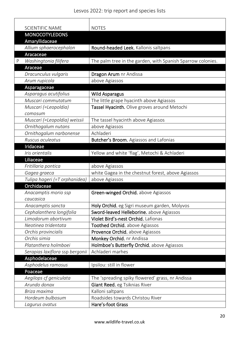|   | <b>SCIENTIFIC NAME</b>                   | <b>NOTES</b>                                                |
|---|------------------------------------------|-------------------------------------------------------------|
|   | <b>MONOCOTYLEDONS</b>                    |                                                             |
|   | Amaryllidaceae<br>Allium sphaerocephalon | Round-headed Leek. Kallonis saltpans                        |
|   | Aracaceae                                |                                                             |
| P | Washingtonia filifera                    | The palm tree in the garden, with Spanish Sparrow colonies. |
|   | Araceae                                  |                                                             |
|   | Dracunculus vulgaris                     | Dragon Arum nr Andissa                                      |
|   | Arum rupicola                            | above Agiassos                                              |
|   | Asparagaceae                             |                                                             |
|   | Asparagus acutifolius                    | <b>Wild Asparagus</b>                                       |
|   | Muscari commutatum                       | The little grape hyacinth above Agiassos                    |
|   | Muscari (=Leopoldia)                     | Tassel Hyacinth. Olive groves around Metochi                |
|   | comosum                                  |                                                             |
|   | Muscari (=Leopoldia) weissii             | The tassel hyacinth above Agiassos                          |
|   | Ornithogalum nutans                      | above Agiassos                                              |
|   | Ornithogalum narbonense                  | Achladeri                                                   |
|   | Ruscus aculeatus                         | Butcher's Broom. Agiassos and Lafonias                      |
|   | Iridaceae                                |                                                             |
|   | Iris orientalis                          | Yellow and white 'flag', Metochi & Achladeri                |
|   | Liliaceae                                |                                                             |
|   | Fritillaria pontica                      | above Agiassos                                              |
|   | Gagea graeca                             | white Gagea in the chestnut forest, above Agiassos          |
|   | Tulipa hageri (=T orphanidea)            | above Agiassos                                              |
|   | Orchidaceae                              |                                                             |
|   | Anacamptis morio ssp                     | Green-winged Orchid. above Agiassos                         |
|   | caucasica                                |                                                             |
|   | Anacamptis sancta                        | Holy Orchid. eg Sigri museum garden, Molyvos                |
|   | Cephalanthera longifolia                 | Sword-leaved Helleborine. above Agiassos                    |
|   | Limodorum abortivum                      | Violet Bird's-nest Orchid. Lafionas                         |
|   | Neotinea tridentata                      | Toothed Orchid. above Agiassos                              |
|   | Orchis provincialis                      | Provence Orchid. above Agiassos                             |
|   | Orchis simia                             | Monkey Orchid. nr Andissa                                   |
|   | Platanthera holmboei                     | Holmboe's Butterfly Orchid. above Agiassos                  |
|   | Serapias laxiflora ssp bergonii          | Achladeri marhes                                            |
|   | Asphodelaceae                            |                                                             |
|   | Asphodelus ramosus                       | Ipsilou: still in flower                                    |
|   | Poaceae                                  |                                                             |
|   | Aegilops cf geniculata                   | The 'spreading spiky flowered' grass, nr Andissa            |
|   | Arundo donax                             | Giant Reed. eg Tsiknias River                               |
|   | Briza maxima                             | Kalloni saltpans                                            |
|   | Hordeum bulbosum                         | Roadsides towards Christou River                            |
|   | Lagurus ovatus                           | Hare's-foot Grass                                           |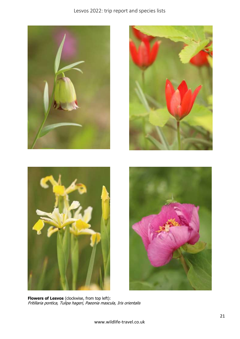







**Flowers of Lesvos** (clockwise, from top left): Fritillaria pontica, Tulipa hageri, Paeonia mascula, Iris orientalis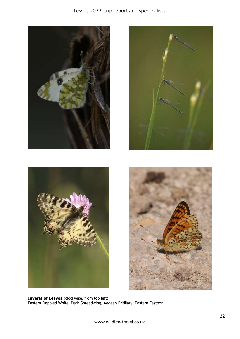



**Inverts of Lesvos** (clockwise, from top left): Eastern Dappled White, Dark Spreadwing, Aegean Fritillary, Eastern Festoon